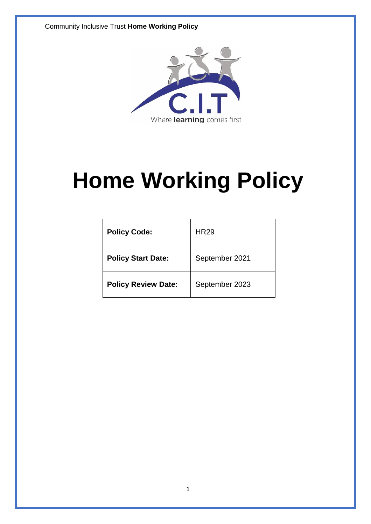Community Inclusive Trust **Home Working Policy**



# **Home Working Policy**

| <b>Policy Code:</b>        | <b>HR29</b>    |
|----------------------------|----------------|
| <b>Policy Start Date:</b>  | September 2021 |
| <b>Policy Review Date:</b> | September 2023 |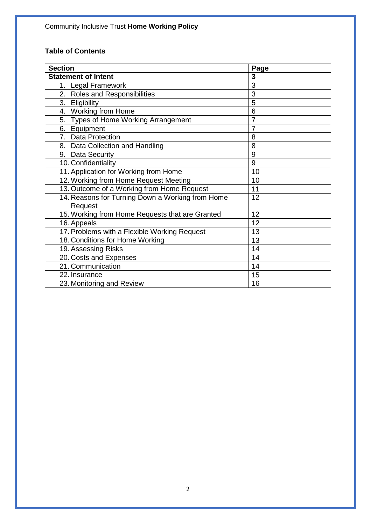# **Table of Contents**

| <b>Section</b>                                   | Page           |
|--------------------------------------------------|----------------|
| <b>Statement of Intent</b>                       | 3              |
| 1. Legal Framework                               | 3              |
| 2. Roles and Responsibilities                    | 3              |
| 3. Eligibility                                   | 5              |
| 4. Working from Home                             | 6              |
| 5. Types of Home Working Arrangement             | $\overline{7}$ |
| 6. Equipment                                     | 7              |
| 7. Data Protection                               | 8              |
| 8. Data Collection and Handling                  | 8              |
| 9. Data Security                                 | 9              |
| 10. Confidentiality                              | 9              |
| 11. Application for Working from Home            | 10             |
| 12. Working from Home Request Meeting            | 10             |
| 13. Outcome of a Working from Home Request       | 11             |
| 14. Reasons for Turning Down a Working from Home | 12             |
| Request                                          |                |
| 15. Working from Home Requests that are Granted  | 12             |
| 16. Appeals                                      | 12             |
| 17. Problems with a Flexible Working Request     | 13             |
| 18. Conditions for Home Working                  | 13             |
| 19. Assessing Risks                              | 14             |
| 20. Costs and Expenses                           | 14             |
| 21. Communication                                | 14             |
| 22. Insurance                                    | 15             |
| 23. Monitoring and Review                        | 16             |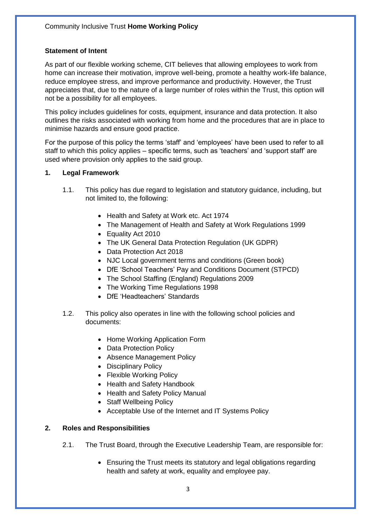#### **Statement of Intent**

As part of our flexible working scheme, CIT believes that allowing employees to work from home can increase their motivation, improve well-being, promote a healthy work-life balance, reduce employee stress, and improve performance and productivity. However, the Trust appreciates that, due to the nature of a large number of roles within the Trust, this option will not be a possibility for all employees.

This policy includes guidelines for costs, equipment, insurance and data protection. It also outlines the risks associated with working from home and the procedures that are in place to minimise hazards and ensure good practice.

For the purpose of this policy the terms 'staff' and 'employees' have been used to refer to all staff to which this policy applies – specific terms, such as 'teachers' and 'support staff' are used where provision only applies to the said group.

#### **1. Legal Framework**

- 1.1. This policy has due regard to legislation and statutory guidance, including, but not limited to, the following:
	- Health and Safety at Work etc. Act 1974
	- The Management of Health and Safety at Work Regulations 1999
	- Equality Act 2010
	- The UK General Data Protection Regulation (UK GDPR)
	- Data Protection Act 2018
	- NJC Local government terms and conditions (Green book)
	- DfE 'School Teachers' Pay and Conditions Document (STPCD)
	- The School Staffing (England) Regulations 2009
	- The Working Time Regulations 1998
	- DfE 'Headteachers' Standards
- 1.2. This policy also operates in line with the following school policies and documents:
	- Home Working Application Form
	- Data Protection Policy
	- Absence Management Policy
	- Disciplinary Policy
	- Flexible Working Policy
	- Health and Safety Handbook
	- Health and Safety Policy Manual
	- Staff Wellbeing Policy
	- Acceptable Use of the Internet and IT Systems Policy

#### **2. Roles and Responsibilities**

- 2.1. The Trust Board, through the Executive Leadership Team, are responsible for:
	- Ensuring the Trust meets its statutory and legal obligations regarding health and safety at work, equality and employee pay.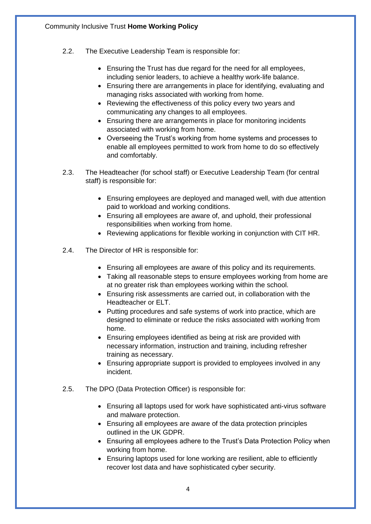- 2.2. The Executive Leadership Team is responsible for:
	- Ensuring the Trust has due regard for the need for all employees, including senior leaders, to achieve a healthy work-life balance.
	- Ensuring there are arrangements in place for identifying, evaluating and managing risks associated with working from home.
	- Reviewing the effectiveness of this policy every two years and communicating any changes to all employees.
	- Ensuring there are arrangements in place for monitoring incidents associated with working from home.
	- Overseeing the Trust's working from home systems and processes to enable all employees permitted to work from home to do so effectively and comfortably.
- 2.3. The Headteacher (for school staff) or Executive Leadership Team (for central staff) is responsible for:
	- Ensuring employees are deployed and managed well, with due attention paid to workload and working conditions.
	- Ensuring all employees are aware of, and uphold, their professional responsibilities when working from home.
	- Reviewing applications for flexible working in conjunction with CIT HR.
- 2.4. The Director of HR is responsible for:
	- Ensuring all employees are aware of this policy and its requirements.
	- Taking all reasonable steps to ensure employees working from home are at no greater risk than employees working within the school.
	- Ensuring risk assessments are carried out, in collaboration with the Headteacher or ELT.
	- Putting procedures and safe systems of work into practice, which are designed to eliminate or reduce the risks associated with working from home.
	- Ensuring employees identified as being at risk are provided with necessary information, instruction and training, including refresher training as necessary.
	- Ensuring appropriate support is provided to employees involved in any incident.
- 2.5. The DPO (Data Protection Officer) is responsible for:
	- Ensuring all laptops used for work have sophisticated anti-virus software and malware protection.
	- Ensuring all employees are aware of the data protection principles outlined in the UK GDPR.
	- Ensuring all employees adhere to the Trust's Data Protection Policy when working from home.
	- Ensuring laptops used for lone working are resilient, able to efficiently recover lost data and have sophisticated cyber security.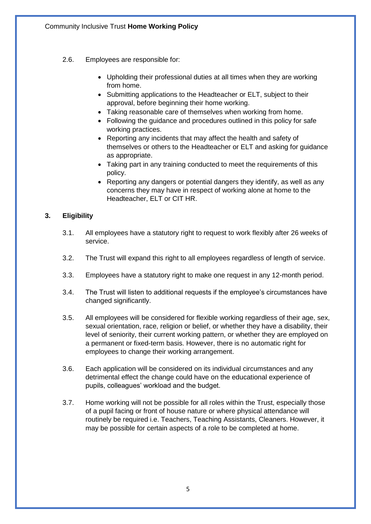- 2.6. Employees are responsible for:
	- Upholding their professional duties at all times when they are working from home.
	- Submitting applications to the Headteacher or ELT, subject to their approval, before beginning their home working.
	- Taking reasonable care of themselves when working from home.
	- Following the guidance and procedures outlined in this policy for safe working practices.
	- Reporting any incidents that may affect the health and safety of themselves or others to the Headteacher or ELT and asking for guidance as appropriate.
	- Taking part in any training conducted to meet the requirements of this policy.
	- Reporting any dangers or potential dangers they identify, as well as any concerns they may have in respect of working alone at home to the Headteacher, ELT or CIT HR.

# **3. Eligibility**

- 3.1. All employees have a statutory right to request to work flexibly after 26 weeks of service.
- 3.2. The Trust will expand this right to all employees regardless of length of service.
- 3.3. Employees have a statutory right to make one request in any 12-month period.
- 3.4. The Trust will listen to additional requests if the employee's circumstances have changed significantly.
- 3.5. All employees will be considered for flexible working regardless of their age, sex, sexual orientation, race, religion or belief, or whether they have a disability, their level of seniority, their current working pattern, or whether they are employed on a permanent or fixed-term basis. However, there is no automatic right for employees to change their working arrangement.
- 3.6. Each application will be considered on its individual circumstances and any detrimental effect the change could have on the educational experience of pupils, colleagues' workload and the budget.
- 3.7. Home working will not be possible for all roles within the Trust, especially those of a pupil facing or front of house nature or where physical attendance will routinely be required i.e. Teachers, Teaching Assistants, Cleaners. However, it may be possible for certain aspects of a role to be completed at home.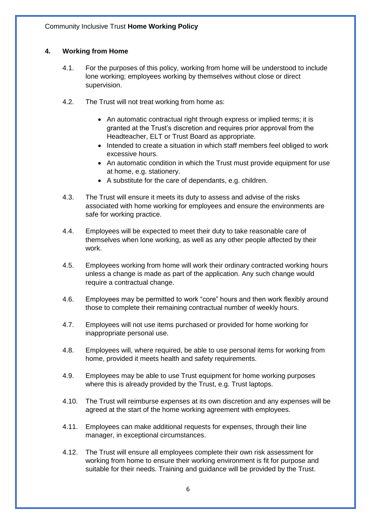# **4. Working from Home**

- 4.1. For the purposes of this policy, working from home will be understood to include lone working; employees working by themselves without close or direct supervision.
- 4.2. The Trust will not treat working from home as:
	- An automatic contractual right through express or implied terms; it is granted at the Trust's discretion and requires prior approval from the Headteacher, ELT or Trust Board as appropriate.
	- Intended to create a situation in which staff members feel obliged to work excessive hours.
	- An automatic condition in which the Trust must provide equipment for use at home, e.g. stationery.
	- A substitute for the care of dependants, e.g. children.
- 4.3. The Trust will ensure it meets its duty to assess and advise of the risks associated with home working for employees and ensure the environments are safe for working practice.
- 4.4. Employees will be expected to meet their duty to take reasonable care of themselves when lone working, as well as any other people affected by their work.
- 4.5. Employees working from home will work their ordinary contracted working hours unless a change is made as part of the application. Any such change would require a contractual change.
- 4.6. Employees may be permitted to work "core" hours and then work flexibly around those to complete their remaining contractual number of weekly hours.
- 4.7. Employees will not use items purchased or provided for home working for inappropriate personal use.
- 4.8. Employees will, where required, be able to use personal items for working from home, provided it meets health and safety requirements.
- 4.9. Employees may be able to use Trust equipment for home working purposes where this is already provided by the Trust, e.g. Trust laptops.
- 4.10. The Trust will reimburse expenses at its own discretion and any expenses will be agreed at the start of the home working agreement with employees.
- 4.11. Employees can make additional requests for expenses, through their line manager, in exceptional circumstances.
- 4.12. The Trust will ensure all employees complete their own risk assessment for working from home to ensure their working environment is fit for purpose and suitable for their needs. Training and guidance will be provided by the Trust.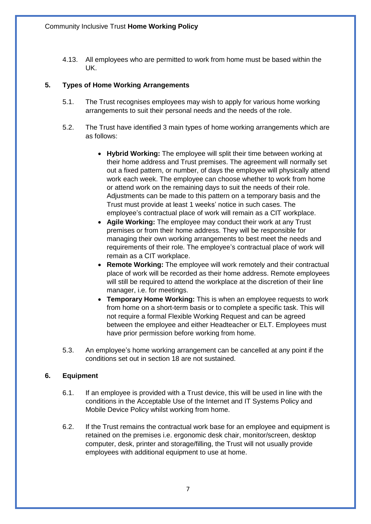4.13. All employees who are permitted to work from home must be based within the UK.

# **5. Types of Home Working Arrangements**

- 5.1. The Trust recognises employees may wish to apply for various home working arrangements to suit their personal needs and the needs of the role.
- 5.2. The Trust have identified 3 main types of home working arrangements which are as follows:
	- **Hybrid Working:** The employee will split their time between working at their home address and Trust premises. The agreement will normally set out a fixed pattern, or number, of days the employee will physically attend work each week. The employee can choose whether to work from home or attend work on the remaining days to suit the needs of their role. Adjustments can be made to this pattern on a temporary basis and the Trust must provide at least 1 weeks' notice in such cases. The employee's contractual place of work will remain as a CIT workplace.
	- **Agile Working:** The employee may conduct their work at any Trust premises or from their home address. They will be responsible for managing their own working arrangements to best meet the needs and requirements of their role. The employee's contractual place of work will remain as a CIT workplace.
	- **Remote Working:** The employee will work remotely and their contractual place of work will be recorded as their home address. Remote employees will still be required to attend the workplace at the discretion of their line manager, i.e. for meetings.
	- **Temporary Home Working:** This is when an employee requests to work from home on a short-term basis or to complete a specific task. This will not require a formal Flexible Working Request and can be agreed between the employee and either Headteacher or ELT. Employees must have prior permission before working from home.
- 5.3. An employee's home working arrangement can be cancelled at any point if the conditions set out in section 18 are not sustained.

# **6. Equipment**

- 6.1. If an employee is provided with a Trust device, this will be used in line with the conditions in the Acceptable Use of the Internet and IT Systems Policy and Mobile Device Policy whilst working from home.
- 6.2. If the Trust remains the contractual work base for an employee and equipment is retained on the premises i.e. ergonomic desk chair, monitor/screen, desktop computer, desk, printer and storage/filling, the Trust will not usually provide employees with additional equipment to use at home.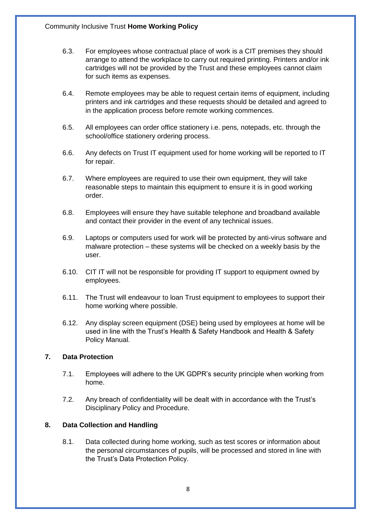- 6.3. For employees whose contractual place of work is a CIT premises they should arrange to attend the workplace to carry out required printing. Printers and/or ink cartridges will not be provided by the Trust and these employees cannot claim for such items as expenses.
- 6.4. Remote employees may be able to request certain items of equipment, including printers and ink cartridges and these requests should be detailed and agreed to in the application process before remote working commences.
- 6.5. All employees can order office stationery i.e. pens, notepads, etc. through the school/office stationery ordering process.
- 6.6. Any defects on Trust IT equipment used for home working will be reported to IT for repair.
- 6.7. Where employees are required to use their own equipment, they will take reasonable steps to maintain this equipment to ensure it is in good working order.
- 6.8. Employees will ensure they have suitable telephone and broadband available and contact their provider in the event of any technical issues.
- 6.9. Laptops or computers used for work will be protected by anti-virus software and malware protection – these systems will be checked on a weekly basis by the user.
- 6.10. CIT IT will not be responsible for providing IT support to equipment owned by employees.
- 6.11. The Trust will endeavour to loan Trust equipment to employees to support their home working where possible.
- 6.12. Any display screen equipment (DSE) being used by employees at home will be used in line with the Trust's Health & Safety Handbook and Health & Safety Policy Manual.

# **7. Data Protection**

- 7.1. Employees will adhere to the UK GDPR's security principle when working from home.
- 7.2. Any breach of confidentiality will be dealt with in accordance with the Trust's Disciplinary Policy and Procedure.

# **8. Data Collection and Handling**

8.1. Data collected during home working, such as test scores or information about the personal circumstances of pupils, will be processed and stored in line with the Trust's Data Protection Policy.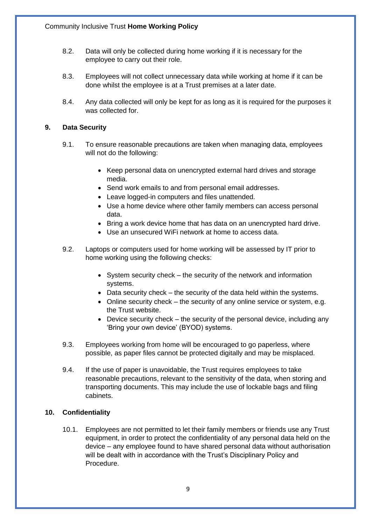- 8.2. Data will only be collected during home working if it is necessary for the employee to carry out their role.
- 8.3. Employees will not collect unnecessary data while working at home if it can be done whilst the employee is at a Trust premises at a later date.
- 8.4. Any data collected will only be kept for as long as it is required for the purposes it was collected for.

#### **9. Data Security**

- 9.1. To ensure reasonable precautions are taken when managing data, employees will not do the following:
	- Keep personal data on unencrypted external hard drives and storage media.
	- Send work emails to and from personal email addresses.
	- Leave logged-in computers and files unattended.
	- Use a home device where other family members can access personal data.
	- Bring a work device home that has data on an unencrypted hard drive.
	- Use an unsecured WiFi network at home to access data.
- 9.2. Laptops or computers used for home working will be assessed by IT prior to home working using the following checks:
	- System security check the security of the network and information systems.
	- Data security check the security of the data held within the systems.
	- Online security check the security of any online service or system, e.g. the Trust website.
	- Device security check the security of the personal device, including any 'Bring your own device' (BYOD) systems.
- 9.3. Employees working from home will be encouraged to go paperless, where possible, as paper files cannot be protected digitally and may be misplaced.
- 9.4. If the use of paper is unavoidable, the Trust requires employees to take reasonable precautions, relevant to the sensitivity of the data, when storing and transporting documents. This may include the use of lockable bags and filing cabinets.

# **10. Confidentiality**

10.1. Employees are not permitted to let their family members or friends use any Trust equipment, in order to protect the confidentiality of any personal data held on the device – any employee found to have shared personal data without authorisation will be dealt with in accordance with the Trust's Disciplinary Policy and Procedure.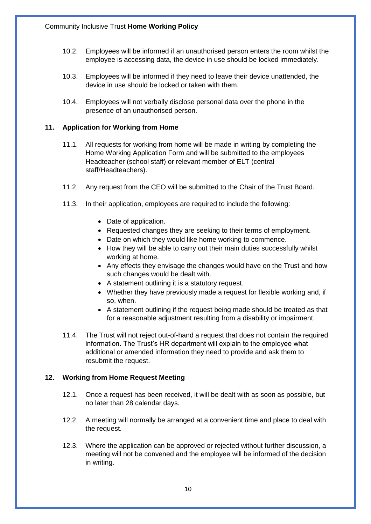- 10.2. Employees will be informed if an unauthorised person enters the room whilst the employee is accessing data, the device in use should be locked immediately.
- 10.3. Employees will be informed if they need to leave their device unattended, the device in use should be locked or taken with them.
- 10.4. Employees will not verbally disclose personal data over the phone in the presence of an unauthorised person.

## **11. Application for Working from Home**

- 11.1. All requests for working from home will be made in writing by completing the Home Working Application Form and will be submitted to the employees Headteacher (school staff) or relevant member of ELT (central staff/Headteachers).
- 11.2. Any request from the CEO will be submitted to the Chair of the Trust Board.
- 11.3. In their application, employees are required to include the following:
	- Date of application.
	- Requested changes they are seeking to their terms of employment.
	- Date on which they would like home working to commence.
	- How they will be able to carry out their main duties successfully whilst working at home.
	- Any effects they envisage the changes would have on the Trust and how such changes would be dealt with.
	- A statement outlining it is a statutory request.
	- Whether they have previously made a request for flexible working and, if so, when.
	- A statement outlining if the request being made should be treated as that for a reasonable adjustment resulting from a disability or impairment.
- 11.4. The Trust will not reject out-of-hand a request that does not contain the required information. The Trust's HR department will explain to the employee what additional or amended information they need to provide and ask them to resubmit the request.

# **12. Working from Home Request Meeting**

- 12.1. Once a request has been received, it will be dealt with as soon as possible, but no later than 28 calendar days.
- 12.2. A meeting will normally be arranged at a convenient time and place to deal with the request.
- 12.3. Where the application can be approved or rejected without further discussion, a meeting will not be convened and the employee will be informed of the decision in writing.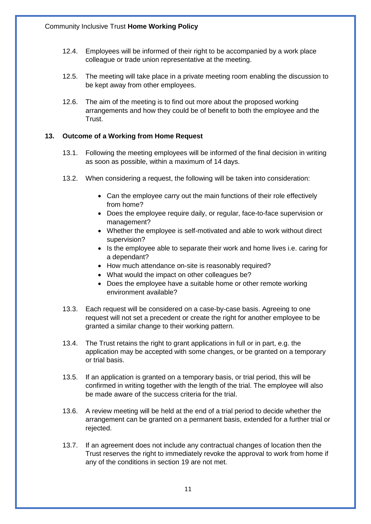- 12.4. Employees will be informed of their right to be accompanied by a work place colleague or trade union representative at the meeting.
- 12.5. The meeting will take place in a private meeting room enabling the discussion to be kept away from other employees.
- 12.6. The aim of the meeting is to find out more about the proposed working arrangements and how they could be of benefit to both the employee and the Trust.

#### **13. Outcome of a Working from Home Request**

- 13.1. Following the meeting employees will be informed of the final decision in writing as soon as possible, within a maximum of 14 days.
- 13.2. When considering a request, the following will be taken into consideration:
	- Can the employee carry out the main functions of their role effectively from home?
	- Does the employee require daily, or regular, face-to-face supervision or management?
	- Whether the employee is self-motivated and able to work without direct supervision?
	- Is the employee able to separate their work and home lives i.e. caring for a dependant?
	- How much attendance on-site is reasonably required?
	- What would the impact on other colleagues be?
	- Does the employee have a suitable home or other remote working environment available?
- 13.3. Each request will be considered on a case-by-case basis. Agreeing to one request will not set a precedent or create the right for another employee to be granted a similar change to their working pattern.
- 13.4. The Trust retains the right to grant applications in full or in part, e.g. the application may be accepted with some changes, or be granted on a temporary or trial basis.
- 13.5. If an application is granted on a temporary basis, or trial period, this will be confirmed in writing together with the length of the trial. The employee will also be made aware of the success criteria for the trial.
- 13.6. A review meeting will be held at the end of a trial period to decide whether the arrangement can be granted on a permanent basis, extended for a further trial or rejected.
- 13.7. If an agreement does not include any contractual changes of location then the Trust reserves the right to immediately revoke the approval to work from home if any of the conditions in section 19 are not met.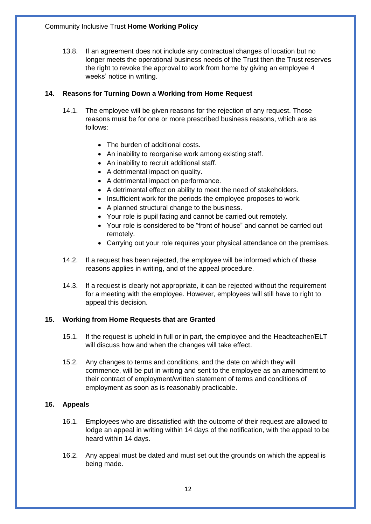13.8. If an agreement does not include any contractual changes of location but no longer meets the operational business needs of the Trust then the Trust reserves the right to revoke the approval to work from home by giving an employee 4 weeks' notice in writing.

## **14. Reasons for Turning Down a Working from Home Request**

- 14.1. The employee will be given reasons for the rejection of any request. Those reasons must be for one or more prescribed business reasons, which are as follows:
	- The burden of additional costs.
	- An inability to reorganise work among existing staff.
	- An inability to recruit additional staff.
	- A detrimental impact on quality.
	- A detrimental impact on performance.
	- A detrimental effect on ability to meet the need of stakeholders.
	- Insufficient work for the periods the employee proposes to work.
	- A planned structural change to the business.
	- Your role is pupil facing and cannot be carried out remotely.
	- Your role is considered to be "front of house" and cannot be carried out remotely.
	- Carrying out your role requires your physical attendance on the premises.
- 14.2. If a request has been rejected, the employee will be informed which of these reasons applies in writing, and of the appeal procedure.
- 14.3. If a request is clearly not appropriate, it can be rejected without the requirement for a meeting with the employee. However, employees will still have to right to appeal this decision.

#### **15. Working from Home Requests that are Granted**

- 15.1. If the request is upheld in full or in part, the employee and the Headteacher/ELT will discuss how and when the changes will take effect.
- 15.2. Any changes to terms and conditions, and the date on which they will commence, will be put in writing and sent to the employee as an amendment to their contract of employment/written statement of terms and conditions of employment as soon as is reasonably practicable.

#### **16. Appeals**

- 16.1. Employees who are dissatisfied with the outcome of their request are allowed to lodge an appeal in writing within 14 days of the notification, with the appeal to be heard within 14 days.
- 16.2. Any appeal must be dated and must set out the grounds on which the appeal is being made.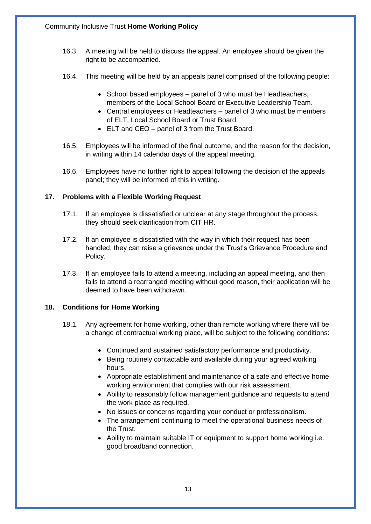- 16.3. A meeting will be held to discuss the appeal. An employee should be given the right to be accompanied.
- 16.4. This meeting will be held by an appeals panel comprised of the following people:
	- School based employees panel of 3 who must be Headteachers, members of the Local School Board or Executive Leadership Team.
	- Central employees or Headteachers panel of 3 who must be members of ELT, Local School Board or Trust Board.
	- ELT and CEO panel of 3 from the Trust Board.
- 16.5. Employees will be informed of the final outcome, and the reason for the decision, in writing within 14 calendar days of the appeal meeting.
- 16.6. Employees have no further right to appeal following the decision of the appeals panel; they will be informed of this in writing.

#### **17. Problems with a Flexible Working Request**

- 17.1. If an employee is dissatisfied or unclear at any stage throughout the process, they should seek clarification from CIT HR.
- 17.2. If an employee is dissatisfied with the way in which their request has been handled, they can raise a grievance under the Trust's Grievance Procedure and Policy.
- 17.3. If an employee fails to attend a meeting, including an appeal meeting, and then fails to attend a rearranged meeting without good reason, their application will be deemed to have been withdrawn.

#### **18. Conditions for Home Working**

- 18.1. Any agreement for home working, other than remote working where there will be a change of contractual working place, will be subject to the following conditions:
	- Continued and sustained satisfactory performance and productivity.
	- Being routinely contactable and available during your agreed working hours.
	- Appropriate establishment and maintenance of a safe and effective home working environment that complies with our risk assessment.
	- Ability to reasonably follow management guidance and requests to attend the work place as required.
	- No issues or concerns regarding your conduct or professionalism.
	- The arrangement continuing to meet the operational business needs of the Trust.
	- Ability to maintain suitable IT or equipment to support home working i.e. good broadband connection.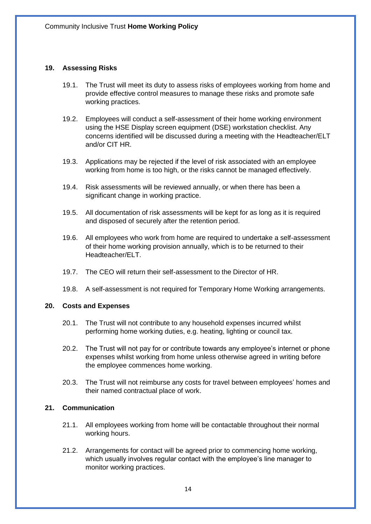#### **19. Assessing Risks**

- 19.1. The Trust will meet its duty to assess risks of employees working from home and provide effective control measures to manage these risks and promote safe working practices.
- 19.2. Employees will conduct a self-assessment of their home working environment using the HSE Display screen equipment (DSE) workstation checklist. Any concerns identified will be discussed during a meeting with the Headteacher/ELT and/or CIT HR.
- 19.3. Applications may be rejected if the level of risk associated with an employee working from home is too high, or the risks cannot be managed effectively.
- 19.4. Risk assessments will be reviewed annually, or when there has been a significant change in working practice.
- 19.5. All documentation of risk assessments will be kept for as long as it is required and disposed of securely after the retention period.
- 19.6. All employees who work from home are required to undertake a self-assessment of their home working provision annually, which is to be returned to their Headteacher/ELT.
- 19.7. The CEO will return their self-assessment to the Director of HR.
- 19.8. A self-assessment is not required for Temporary Home Working arrangements.

#### **20. Costs and Expenses**

- 20.1. The Trust will not contribute to any household expenses incurred whilst performing home working duties, e.g. heating, lighting or council tax.
- 20.2. The Trust will not pay for or contribute towards any employee's internet or phone expenses whilst working from home unless otherwise agreed in writing before the employee commences home working.
- 20.3. The Trust will not reimburse any costs for travel between employees' homes and their named contractual place of work.

#### **21. Communication**

- 21.1. All employees working from home will be contactable throughout their normal working hours.
- 21.2. Arrangements for contact will be agreed prior to commencing home working, which usually involves regular contact with the employee's line manager to monitor working practices.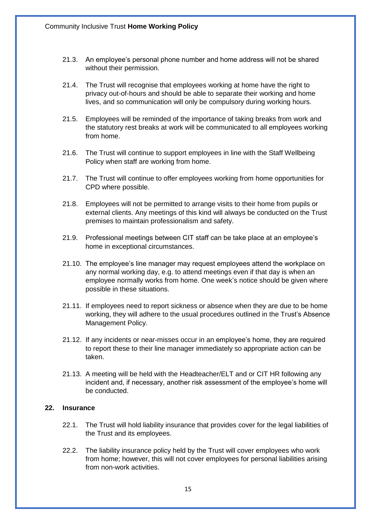- 21.3. An employee's personal phone number and home address will not be shared without their permission.
- 21.4. The Trust will recognise that employees working at home have the right to privacy out-of-hours and should be able to separate their working and home lives, and so communication will only be compulsory during working hours.
- 21.5. Employees will be reminded of the importance of taking breaks from work and the statutory rest breaks at work will be communicated to all employees working from home.
- 21.6. The Trust will continue to support employees in line with the Staff Wellbeing Policy when staff are working from home.
- 21.7. The Trust will continue to offer employees working from home opportunities for CPD where possible.
- 21.8. Employees will not be permitted to arrange visits to their home from pupils or external clients. Any meetings of this kind will always be conducted on the Trust premises to maintain professionalism and safety.
- 21.9. Professional meetings between CIT staff can be take place at an employee's home in exceptional circumstances.
- 21.10. The employee's line manager may request employees attend the workplace on any normal working day, e.g. to attend meetings even if that day is when an employee normally works from home. One week's notice should be given where possible in these situations.
- 21.11. If employees need to report sickness or absence when they are due to be home working, they will adhere to the usual procedures outlined in the Trust's Absence Management Policy.
- 21.12. If any incidents or near-misses occur in an employee's home, they are required to report these to their line manager immediately so appropriate action can be taken.
- 21.13. A meeting will be held with the Headteacher/ELT and or CIT HR following any incident and, if necessary, another risk assessment of the employee's home will be conducted.

#### **22. Insurance**

- 22.1. The Trust will hold liability insurance that provides cover for the legal liabilities of the Trust and its employees.
- 22.2. The liability insurance policy held by the Trust will cover employees who work from home; however, this will not cover employees for personal liabilities arising from non-work activities.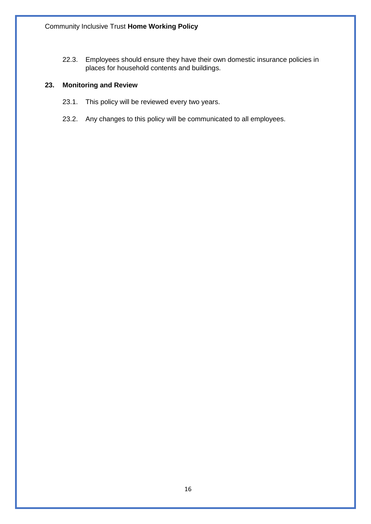22.3. Employees should ensure they have their own domestic insurance policies in places for household contents and buildings.

# **23. Monitoring and Review**

- 23.1. This policy will be reviewed every two years.
- 23.2. Any changes to this policy will be communicated to all employees.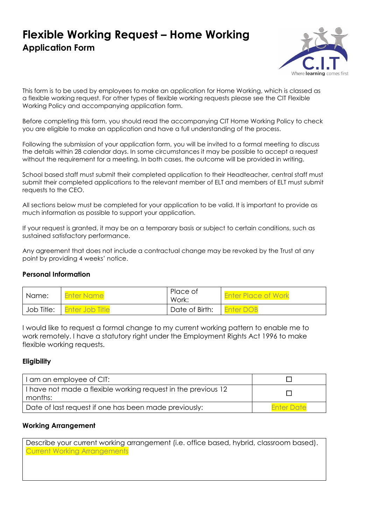# **Flexible Working Request – Home Working Application Form**



This form is to be used by employees to make an application for Home Working, which is classed as a flexible working request. For other types of flexible working requests please see the CIT Flexible Working Policy and accompanying application form.

Before completing this form, you should read the accompanying CIT Home Working Policy to check you are eligible to make an application and have a full understanding of the process.

Following the submission of your application form, you will be invited to a formal meeting to discuss the details within 28 calendar days. In some circumstances it may be possible to accept a request without the requirement for a meeting. In both cases, the outcome will be provided in writing.

School based staff must submit their completed application to their Headteacher, central staff must submit their completed applications to the relevant member of ELT and members of ELT must submit requests to the CEO.

All sections below must be completed for your application to be valid. It is important to provide as much information as possible to support your application.

If your request is granted, it may be on a temporary basis or subject to certain conditions, such as sustained satisfactory performance.

Any agreement that does not include a contractual change may be revoked by the Trust at any point by providing 4 weeks' notice.

#### **Personal Information**

| Name: | <b>Enter Name</b>            | Place of<br>Work: | <b>Enter Place of Work</b> |
|-------|------------------------------|-------------------|----------------------------|
|       | Job Title:   Enter Job Title | Date of Birth:    | <b>Enter DOB</b>           |

I would like to request a formal change to my current working pattern to enable me to work remotely. I have a statutory right under the Employment Rights Act 1996 to make flexible working requests.

#### **Eligibility**

| I am an employee of CIT:                                                 |                   |
|--------------------------------------------------------------------------|-------------------|
| I have not made a flexible working request in the previous 12<br>months: |                   |
| Date of last request if one has been made previously:                    | <b>Enter Date</b> |

#### **Working Arrangement**

Describe your current working arrangement (i.e. office based, hybrid, classroom based). Current Working Arrangements